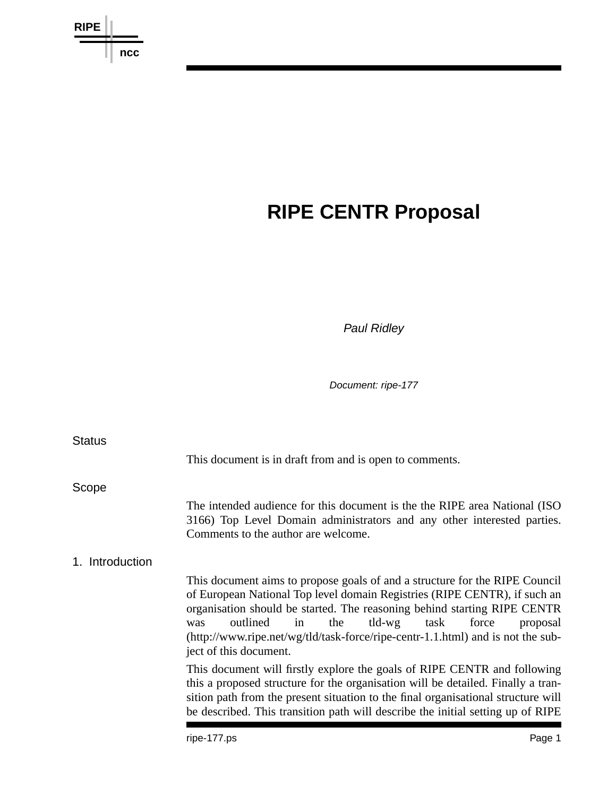

# **RIPE CENTR Proposal**

*Paul Ridley*

*Document: ripe-177*

| <b>Status</b>   |                                                                                                                                                                                                                                                                                                                                                                                                                      |  |
|-----------------|----------------------------------------------------------------------------------------------------------------------------------------------------------------------------------------------------------------------------------------------------------------------------------------------------------------------------------------------------------------------------------------------------------------------|--|
|                 | This document is in draft from and is open to comments.                                                                                                                                                                                                                                                                                                                                                              |  |
| Scope           |                                                                                                                                                                                                                                                                                                                                                                                                                      |  |
|                 | The intended audience for this document is the the RIPE area National (ISO<br>3166) Top Level Domain administrators and any other interested parties.<br>Comments to the author are welcome.                                                                                                                                                                                                                         |  |
| 1. Introduction |                                                                                                                                                                                                                                                                                                                                                                                                                      |  |
|                 | This document aims to propose goals of and a structure for the RIPE Council<br>of European National Top level domain Registries (RIPE CENTR), if such an<br>organisation should be started. The reasoning behind starting RIPE CENTR<br>the tld-wg task<br>outlined<br>in<br>force<br>proposal<br>was<br>$(http://www.ripe.net/wg/tld/task-force/ripe-centr-1.1.html)$ and is not the sub-<br>ject of this document. |  |
|                 | This document will firstly explore the goals of RIPE CENTR and following<br>this a proposed structure for the organisation will be detailed. Finally a tran-<br>sition path from the present situation to the final organisational structure will<br>be described. This transition path will describe the initial setting up of RIPE                                                                                 |  |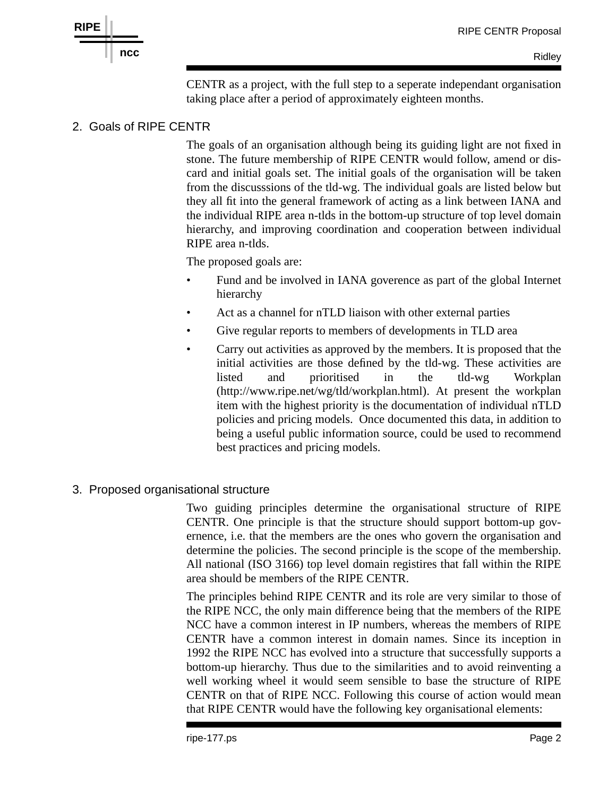

CENTR as a project, with the full step to a seperate independant organisation taking place after a period of approximately eighteen months.

### 2. Goals of RIPE CENTR

The goals of an organisation although being its guiding light are not fixed in stone. The future membership of RIPE CENTR would follow, amend or discard and initial goals set. The initial goals of the organisation will be taken from the discusssions of the tld-wg. The individual goals are listed below but they all fit into the general framework of acting as a link between IANA and the individual RIPE area n-tlds in the bottom-up structure of top level domain hierarchy, and improving coordination and cooperation between individual RIPE area n-tlds.

The proposed goals are:

- Fund and be involved in IANA goverence as part of the global Internet hierarchy
- Act as a channel for nTLD liaison with other external parties
- Give regular reports to members of developments in TLD area
- Carry out activities as approved by the members. It is proposed that the initial activities are those defined by the tld-wg. These activities are listed and prioritised in the tld-wg Workplan (http://www.ripe.net/wg/tld/workplan.html). At present the workplan item with the highest priority is the documentation of individual nTLD policies and pricing models. Once documented this data, in addition to being a useful public information source, could be used to recommend best practices and pricing models.
- 3. Proposed organisational structure

Two guiding principles determine the organisational structure of RIPE CENTR. One principle is that the structure should support bottom-up governence, i.e. that the members are the ones who govern the organisation and determine the policies. The second principle is the scope of the membership. All national (ISO 3166) top level domain registires that fall within the RIPE area should be members of the RIPE CENTR.

The principles behind RIPE CENTR and its role are very similar to those of the RIPE NCC, the only main difference being that the members of the RIPE NCC have a common interest in IP numbers, whereas the members of RIPE CENTR have a common interest in domain names. Since its inception in 1992 the RIPE NCC has evolved into a structure that successfully supports a bottom-up hierarchy. Thus due to the similarities and to avoid reinventing a well working wheel it would seem sensible to base the structure of RIPE CENTR on that of RIPE NCC. Following this course of action would mean that RIPE CENTR would have the following key organisational elements: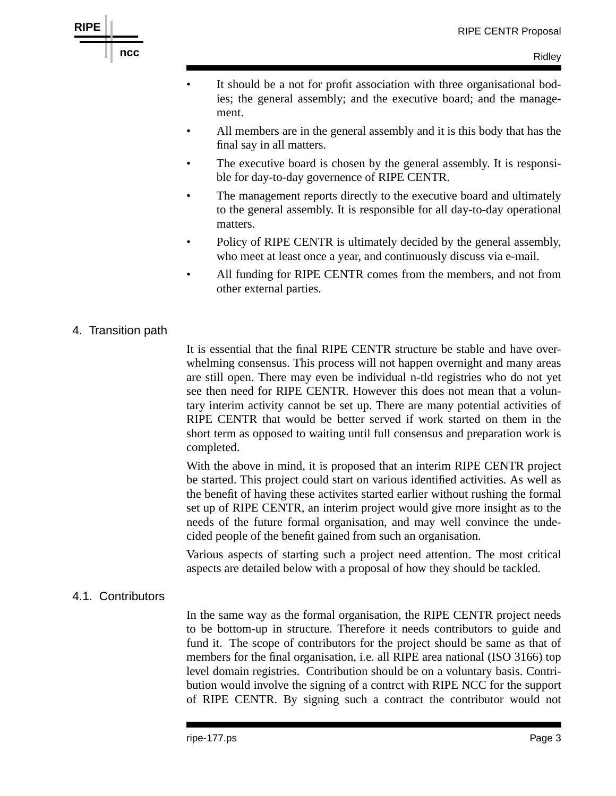

**RIPE**

- It should be a not for profit association with three organisational bodies; the general assembly; and the executive board; and the management.
- All members are in the general assembly and it is this body that has the final say in all matters.
- The executive board is chosen by the general assembly. It is responsible for day-to-day governence of RIPE CENTR.
- The management reports directly to the executive board and ultimately to the general assembly. It is responsible for all day-to-day operational matters.
- Policy of RIPE CENTR is ultimately decided by the general assembly, who meet at least once a year, and continuously discuss via e-mail.
- All funding for RIPE CENTR comes from the members, and not from other external parties.

## 4. Transition path

It is essential that the final RIPE CENTR structure be stable and have overwhelming consensus. This process will not happen overnight and many areas are still open. There may even be individual n-tld registries who do not yet see then need for RIPE CENTR. However this does not mean that a voluntary interim activity cannot be set up. There are many potential activities of RIPE CENTR that would be better served if work started on them in the short term as opposed to waiting until full consensus and preparation work is completed.

With the above in mind, it is proposed that an interim RIPE CENTR project be started. This project could start on various identified activities. As well as the benefit of having these activites started earlier without rushing the formal set up of RIPE CENTR, an interim project would give more insight as to the needs of the future formal organisation, and may well convince the undecided people of the benefit gained from such an organisation.

Various aspects of starting such a project need attention. The most critical aspects are detailed below with a proposal of how they should be tackled.

## 4.1. Contributors

In the same way as the formal organisation, the RIPE CENTR project needs to be bottom-up in structure. Therefore it needs contributors to guide and fund it. The scope of contributors for the project should be same as that of members for the final organisation, i.e. all RIPE area national (ISO 3166) top level domain registries. Contribution should be on a voluntary basis. Contribution would involve the signing of a contrct with RIPE NCC for the support of RIPE CENTR. By signing such a contract the contributor would not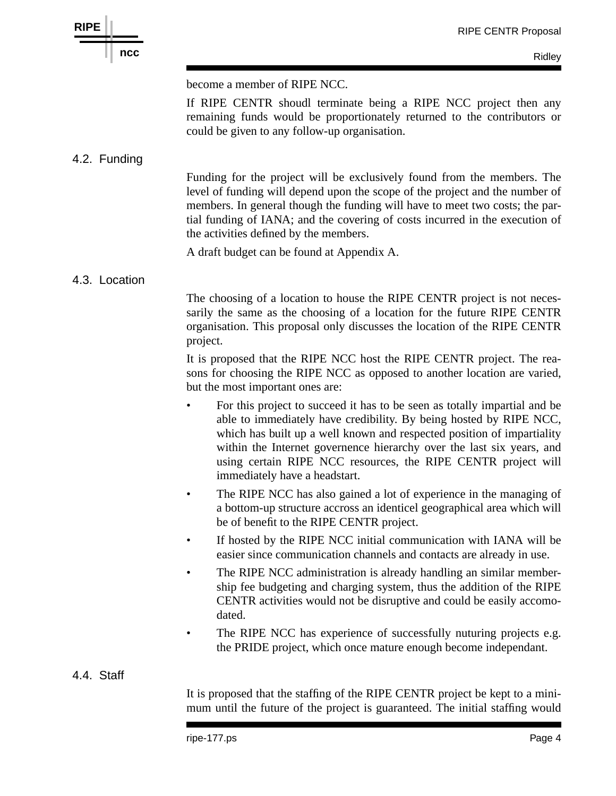



Ridley

become a member of RIPE NCC.

If RIPE CENTR shoudl terminate being a RIPE NCC project then any remaining funds would be proportionately returned to the contributors or could be given to any follow-up organisation.

#### 4.2. Funding

Funding for the project will be exclusively found from the members. The level of funding will depend upon the scope of the project and the number of members. In general though the funding will have to meet two costs; the partial funding of IANA; and the covering of costs incurred in the execution of the activities defined by the members.

A draft budget can be found at Appendix A.

#### 4.3. Location

The choosing of a location to house the RIPE CENTR project is not necessarily the same as the choosing of a location for the future RIPE CENTR organisation. This proposal only discusses the location of the RIPE CENTR project.

It is proposed that the RIPE NCC host the RIPE CENTR project. The reasons for choosing the RIPE NCC as opposed to another location are varied, but the most important ones are:

- For this project to succeed it has to be seen as totally impartial and be able to immediately have credibility. By being hosted by RIPE NCC, which has built up a well known and respected position of impartiality within the Internet governence hierarchy over the last six years, and using certain RIPE NCC resources, the RIPE CENTR project will immediately have a headstart.
- The RIPE NCC has also gained a lot of experience in the managing of a bottom-up structure accross an identicel geographical area which will be of benefit to the RIPE CENTR project.
- If hosted by the RIPE NCC initial communication with IANA will be easier since communication channels and contacts are already in use.
- The RIPE NCC administration is already handling an similar membership fee budgeting and charging system, thus the addition of the RIPE CENTR activities would not be disruptive and could be easily accomodated.
- The RIPE NCC has experience of successfully nuturing projects e.g. the PRIDE project, which once mature enough become independant.

#### 4.4. Staff

It is proposed that the staffing of the RIPE CENTR project be kept to a minimum until the future of the project is guaranteed. The initial staffing would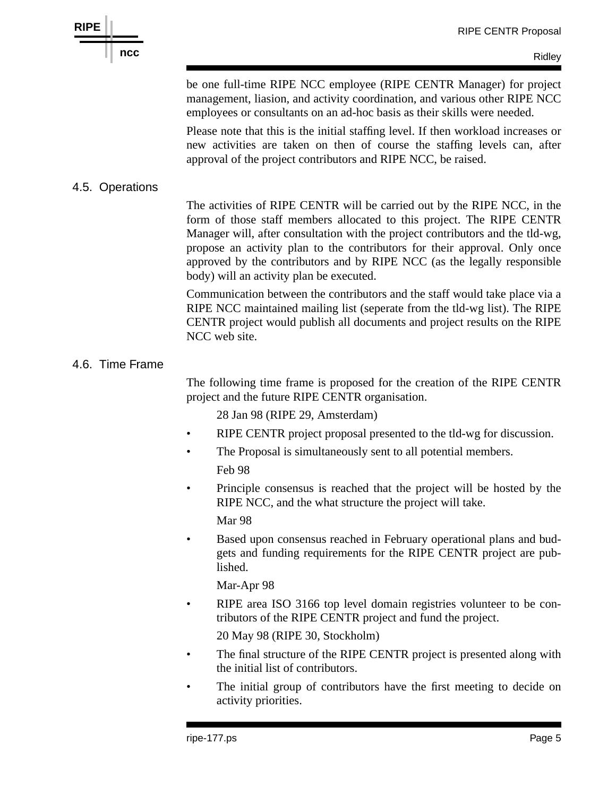be one full-time RIPE NCC employee (RIPE CENTR Manager) for project management, liasion, and activity coordination, and various other RIPE NCC employees or consultants on an ad-hoc basis as their skills were needed.

Please note that this is the initial staffing level. If then workload increases or new activities are taken on then of course the staffing levels can, after approval of the project contributors and RIPE NCC, be raised.

# 4.5. Operations

The activities of RIPE CENTR will be carried out by the RIPE NCC, in the form of those staff members allocated to this project. The RIPE CENTR Manager will, after consultation with the project contributors and the tld-wg, propose an activity plan to the contributors for their approval. Only once approved by the contributors and by RIPE NCC (as the legally responsible body) will an activity plan be executed.

Communication between the contributors and the staff would take place via a RIPE NCC maintained mailing list (seperate from the tld-wg list). The RIPE CENTR project would publish all documents and project results on the RIPE NCC web site.

## 4.6. Time Frame

The following time frame is proposed for the creation of the RIPE CENTR project and the future RIPE CENTR organisation.

28 Jan 98 (RIPE 29, Amsterdam)

- RIPE CENTR project proposal presented to the tld-wg for discussion.
- The Proposal is simultaneously sent to all potential members.

Feb 98

• Principle consensus is reached that the project will be hosted by the RIPE NCC, and the what structure the project will take.

Mar 98

• Based upon consensus reached in February operational plans and budgets and funding requirements for the RIPE CENTR project are published.

Mar-Apr 98

• RIPE area ISO 3166 top level domain registries volunteer to be contributors of the RIPE CENTR project and fund the project.

20 May 98 (RIPE 30, Stockholm)

- The final structure of the RIPE CENTR project is presented along with the initial list of contributors.
- The initial group of contributors have the first meeting to decide on activity priorities.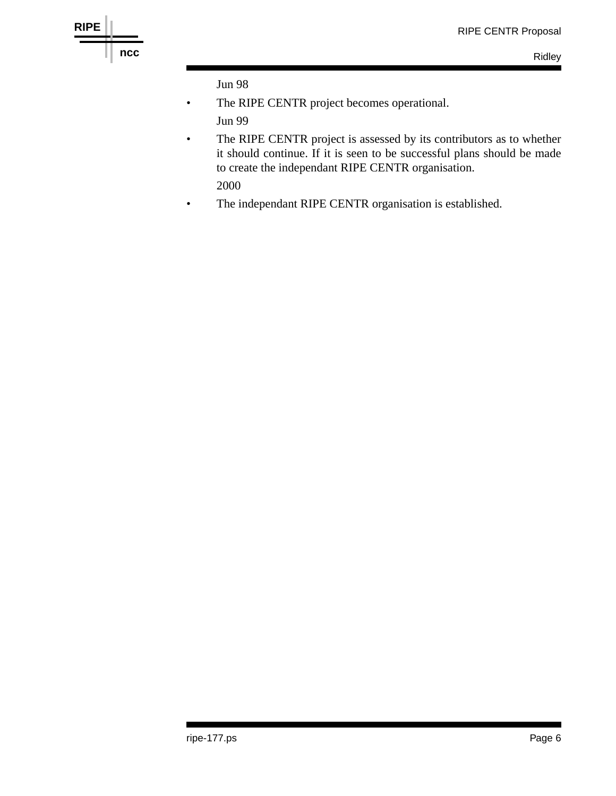

Jun 98

- The RIPE CENTR project becomes operational. Jun 99
- The RIPE CENTR project is assessed by its contributors as to whether it should continue. If it is seen to be successful plans should be made to create the independant RIPE CENTR organisation.

2000

• The independant RIPE CENTR organisation is established.